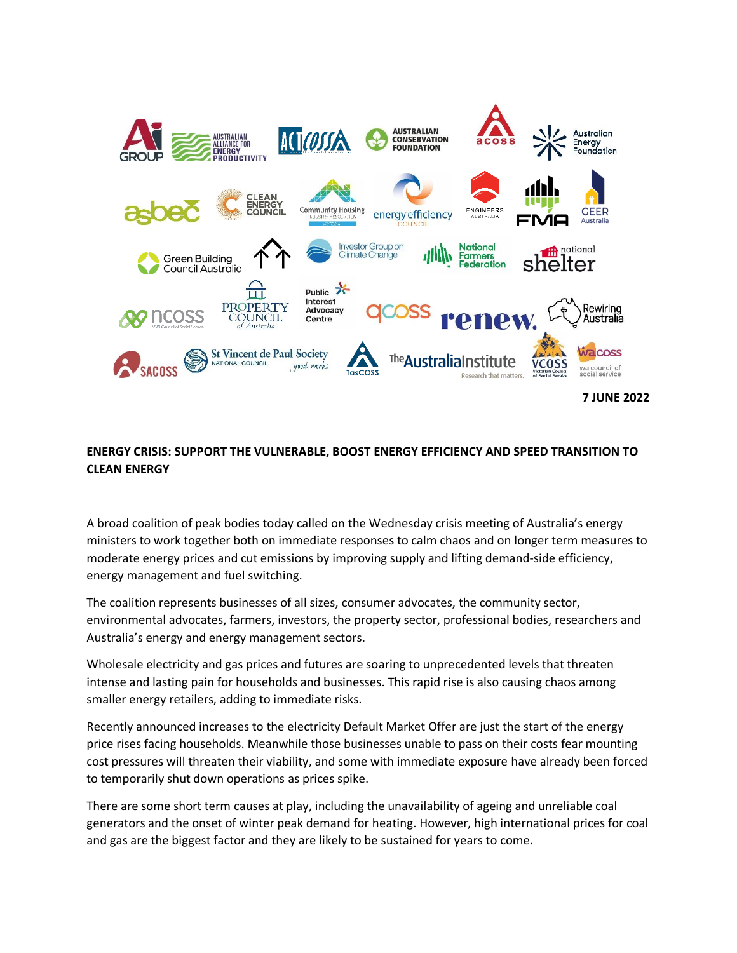

## **ENERGY CRISIS: SUPPORT THE VULNERABLE, BOOST ENERGY EFFICIENCY AND SPEED TRANSITION TO CLEAN ENERGY**

A broad coalition of peak bodies today called on the Wednesday crisis meeting of Australia's energy ministers to work together both on immediate responses to calm chaos and on longer term measures to moderate energy prices and cut emissions by improving supply and lifting demand-side efficiency, energy management and fuel switching.

The coalition represents businesses of all sizes, consumer advocates, the community sector, environmental advocates, farmers, investors, the property sector, professional bodies, researchers and Australia's energy and energy management sectors.

Wholesale electricity and gas prices and futures are soaring to unprecedented levels that threaten intense and lasting pain for households and businesses. This rapid rise is also causing chaos among smaller energy retailers, adding to immediate risks.

Recently announced increases to the electricity Default Market Offer are just the start of the energy price rises facing households. Meanwhile those businesses unable to pass on their costs fear mounting cost pressures will threaten their viability, and some with immediate exposure have already been forced to temporarily shut down operations as prices spike.

There are some short term causes at play, including the unavailability of ageing and unreliable coal generators and the onset of winter peak demand for heating. However, high international prices for coal and gas are the biggest factor and they are likely to be sustained for years to come.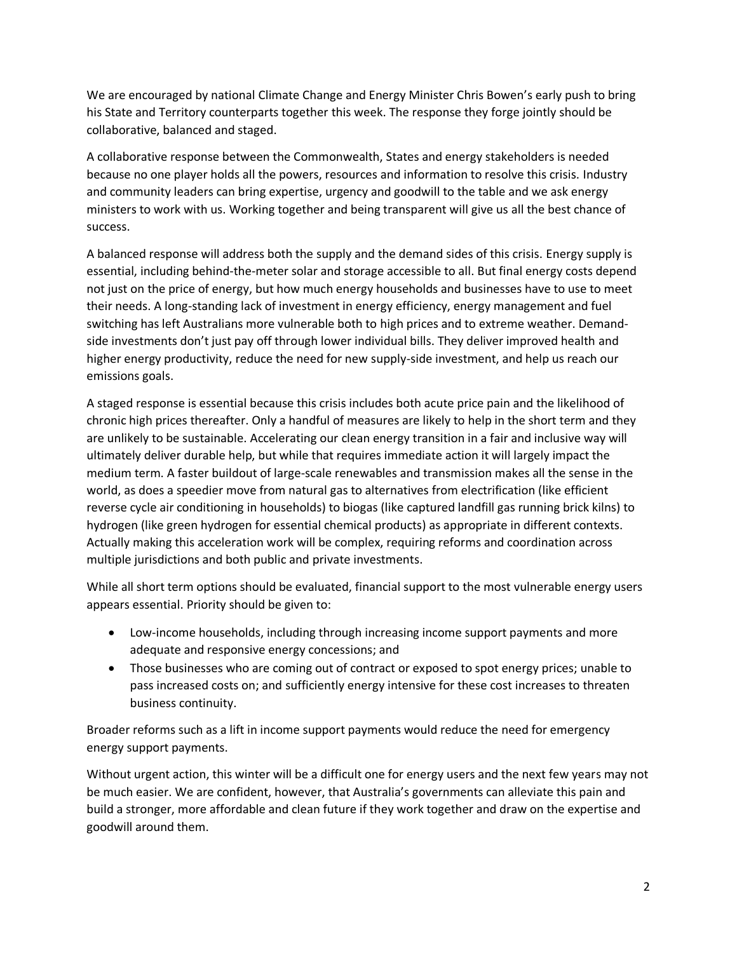We are encouraged by national Climate Change and Energy Minister Chris Bowen's early push to bring his State and Territory counterparts together this week. The response they forge jointly should be collaborative, balanced and staged.

A collaborative response between the Commonwealth, States and energy stakeholders is needed because no one player holds all the powers, resources and information to resolve this crisis. Industry and community leaders can bring expertise, urgency and goodwill to the table and we ask energy ministers to work with us. Working together and being transparent will give us all the best chance of success.

A balanced response will address both the supply and the demand sides of this crisis. Energy supply is essential, including behind-the-meter solar and storage accessible to all. But final energy costs depend not just on the price of energy, but how much energy households and businesses have to use to meet their needs. A long-standing lack of investment in energy efficiency, energy management and fuel switching has left Australians more vulnerable both to high prices and to extreme weather. Demandside investments don't just pay off through lower individual bills. They deliver improved health and higher energy productivity, reduce the need for new supply-side investment, and help us reach our emissions goals.

A staged response is essential because this crisis includes both acute price pain and the likelihood of chronic high prices thereafter. Only a handful of measures are likely to help in the short term and they are unlikely to be sustainable. Accelerating our clean energy transition in a fair and inclusive way will ultimately deliver durable help, but while that requires immediate action it will largely impact the medium term. A faster buildout of large-scale renewables and transmission makes all the sense in the world, as does a speedier move from natural gas to alternatives from electrification (like efficient reverse cycle air conditioning in households) to biogas (like captured landfill gas running brick kilns) to hydrogen (like green hydrogen for essential chemical products) as appropriate in different contexts. Actually making this acceleration work will be complex, requiring reforms and coordination across multiple jurisdictions and both public and private investments.

While all short term options should be evaluated, financial support to the most vulnerable energy users appears essential. Priority should be given to:

- Low-income households, including through increasing income support payments and more adequate and responsive energy concessions; and
- Those businesses who are coming out of contract or exposed to spot energy prices; unable to pass increased costs on; and sufficiently energy intensive for these cost increases to threaten business continuity.

Broader reforms such as a lift in income support payments would reduce the need for emergency energy support payments.

Without urgent action, this winter will be a difficult one for energy users and the next few years may not be much easier. We are confident, however, that Australia's governments can alleviate this pain and build a stronger, more affordable and clean future if they work together and draw on the expertise and goodwill around them.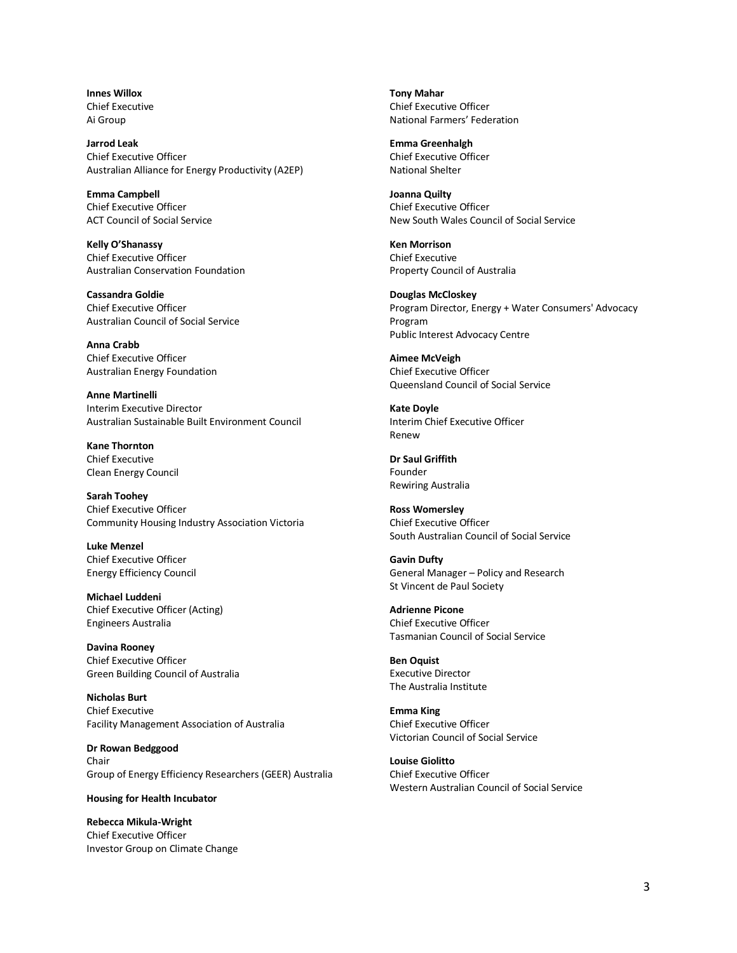**Innes Willox** Chief Executive Ai Group

**Jarrod Leak** Chief Executive Officer Australian Alliance for Energy Productivity (A2EP)

**Emma Campbell** Chief Executive Officer ACT Council of Social Service

**Kelly O'Shanassy** Chief Executive Officer Australian Conservation Foundation

**Cassandra Goldie** Chief Executive Officer Australian Council of Social Service

**Anna Crabb** Chief Executive Officer Australian Energy Foundation

**Anne Martinelli** Interim Executive Director Australian Sustainable Built Environment Council

**Kane Thornton** Chief Executive Clean Energy Council

**Sarah Toohey** Chief Executive Officer Community Housing Industry Association Victoria

**Luke Menzel** Chief Executive Officer Energy Efficiency Council

**Michael Luddeni** Chief Executive Officer (Acting) Engineers Australia

**Davina Rooney** Chief Executive Officer Green Building Council of Australia

**Nicholas Burt** Chief Executive Facility Management Association of Australia

**Dr Rowan Bedggood** Chair Group of Energy Efficiency Researchers (GEER) Australia

## **Housing for Health Incubator**

**Rebecca Mikula-Wright** Chief Executive Officer Investor Group on Climate Change **Tony Mahar** Chief Executive Officer National Farmers' Federation

**Emma Greenhalgh** Chief Executive Officer National Shelter

**Joanna Quilty** Chief Executive Officer New South Wales Council of Social Service

**Ken Morrison** Chief Executive Property Council of Australia

**Douglas McCloskey** Program Director, Energy + Water Consumers' Advocacy Program Public Interest Advocacy Centre

**Aimee McVeigh** Chief Executive Officer Queensland Council of Social Service

**Kate Doyle** Interim Chief Executive Officer Renew

**Dr Saul Griffith** Founder Rewiring Australia

**Ross Womersley** Chief Executive Officer South Australian Council of Social Service

**Gavin Dufty** General Manager – Policy and Research St Vincent de Paul Society

**Adrienne Picone** Chief Executive Officer Tasmanian Council of Social Service

**Ben Oquist** Executive Director The Australia Institute

**Emma King** Chief Executive Officer Victorian Council of Social Service

**Louise Giolitto** Chief Executive Officer Western Australian Council of Social Service